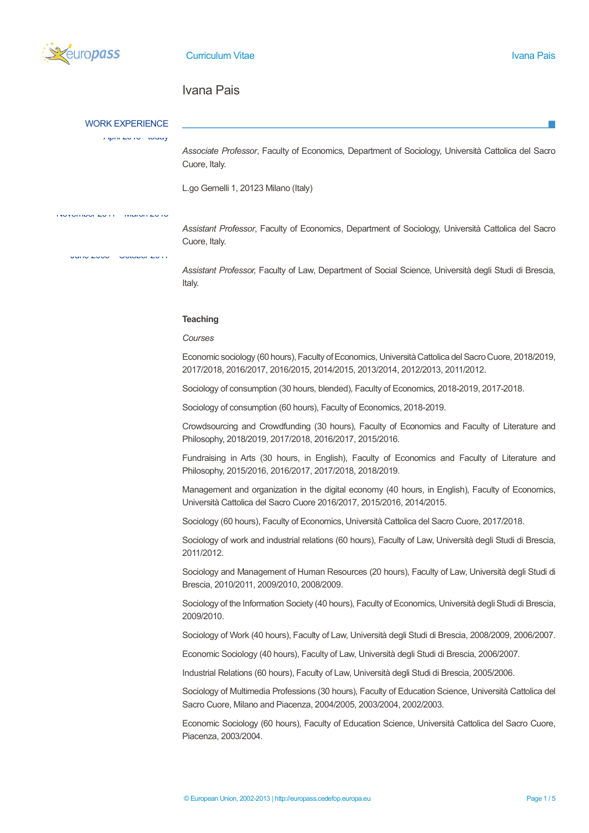

# Ivana Pais

## WORK EXPERIENCE

April 2015 - today

*Associate Professor*, Faculty of Economics, Department of Sociology, Università Cattolica del Sacro Cuore, Italy.

L.go Gemelli 1, 20123 Milano (Italy)

November 2011 – March 2015

*Assistant Professor*, Faculty of Economics, Department of Sociology, Università Cattolica del Sacro Cuore, Italy.

June 2005 – October 2011

*Assistant Professor,* Faculty of Law, Department of Social Science, Università degli Studi di Brescia, Italy.

#### **Teaching**

#### *Courses*

Economic sociology (60 hours), Faculty of Economics, Università Cattolica del Sacro Cuore, 2018/2019, 2017/2018, 2016/2017, 2016/2015, 2014/2015, 2013/2014, 2012/2013, 2011/2012.

Sociology of consumption (30 hours, blended), Faculty of Economics, 2018-2019, 2017-2018.

Sociology of consumption (60 hours), Faculty of Economics, 2018-2019.

Crowdsourcing and Crowdfunding (30 hours), Faculty of Economics and Faculty of Literature and Philosophy, 2018/2019, 2017/2018, 2016/2017, 2015/2016.

Fundraising in Arts (30 hours, in English), Faculty of Economics and Faculty of Literature and Philosophy, 2015/2016, 2016/2017, 2017/2018, 2018/2019.

Management and organization in the digital economy (40 hours, in English), Faculty of Economics, Università Cattolica del Sacro Cuore 2016/2017, 2015/2016, 2014/2015.

Sociology (60 hours), Faculty of Economics, Università Cattolica del Sacro Cuore, 2017/2018.

Sociology of work and industrial relations (60 hours), Faculty of Law, Università degli Studi di Brescia, 2011/2012.

Sociology and Management of Human Resources (20 hours), Faculty of Law, Università degli Studi di Brescia, 2010/2011, 2009/2010, 2008/2009.

Sociology of the Information Society (40 hours), Faculty of Economics, Università degli Studi di Brescia, 2009/2010.

Sociology of Work (40 hours), Faculty of Law, Università degli Studi di Brescia, 2008/2009, 2006/2007.

Economic Sociology (40 hours), Faculty of Law, Università degli Studi di Brescia, 2006/2007.

Industrial Relations (60 hours), Faculty of Law, Università degli Studi di Brescia, 2005/2006.

Sociology of Multimedia Professions (30 hours), Faculty of Education Science, Università Cattolica del Sacro Cuore, Milano and Piacenza, 2004/2005, 2003/2004, 2002/2003.

Economic Sociology (60 hours), Faculty of Education Science, Università Cattolica del Sacro Cuore, Piacenza, 2003/2004.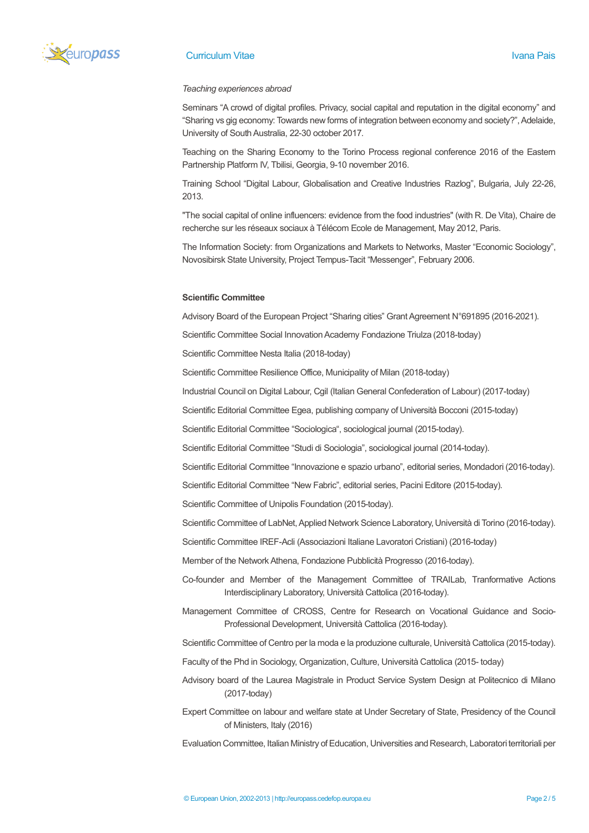

# **Curriculum Vitae Ivana Paise Ivana Paise Ivana Paise Ivana Paise Ivana Paise Ivana Paise Ivana Paise Ivana Pais**

## *Teaching experiences abroad*

Seminars "A crowd of digital profiles. Privacy, social capital and reputation in the digital economy" and "Sharing vs gig economy: Towards new forms of integration between economy and society?", Adelaide, University of South Australia, 22-30 october 2017.

Teaching on the Sharing Economy to the Torino Process regional conference 2016 of the Eastern Partnership Platform IV, Tbilisi, Georgia, 9-10 november 2016.

Training School "Digital Labour, Globalisation and Creative Industries Razlog", Bulgaria, July 22-26, 2013.

"The social capital of online influencers: evidence from the food industries" (with R. De Vita), Chaire de recherche sur les réseaux sociaux à Télécom Ecole de Management, May 2012, Paris.

The Information Society: from Organizations and Markets to Networks, Master "Economic Sociology", Novosibirsk State University, Project Tempus-Tacit "Messenger", February 2006.

## **Scientific Committee**

Advisory Board of the European Project "Sharing cities" Grant Agreement N°691895 (2016-2021).

Scientific Committee Social Innovation Academy Fondazione Triulza (2018-today)

Scientific Committee Nesta Italia (2018-today)

Scientific Committee Resilience Office, Municipality of Milan (2018-today)

Industrial Council on Digital Labour, Cgil (Italian General Confederation of Labour) (2017-today)

Scientific Editorial Committee Egea, publishing company of Università Bocconi (2015-today)

Scientific Editorial Committee "Sociologica", sociological journal (2015-today).

Scientific Editorial Committee "Studi di Sociologia", sociological journal (2014-today).

Scientific Editorial Committee "Innovazione e spazio urbano", editorial series, Mondadori (2016-today).

Scientific Editorial Committee "New Fabric", editorial series, Pacini Editore (2015-today).

Scientific Committee of Unipolis Foundation (2015-today).

Scientific Committee of LabNet, Applied Network Science Laboratory, Università di Torino (2016-today).

Scientific Committee IREF-Acli (Associazioni Italiane Lavoratori Cristiani) (2016-today)

Member of the Network Athena, Fondazione Pubblicità Progresso (2016-today).

- Co-founder and Member of the Management Committee of TRAILab, Tranformative Actions Interdisciplinary Laboratory, Università Cattolica (2016-today).
- Management Committee of CROSS, Centre for Research on Vocational Guidance and Socio-Professional Development, Università Cattolica (2016-today).

Scientific Committee of Centro per la moda e la produzione culturale, Università Cattolica (2015-today).

Faculty of the Phd in Sociology, Organization, Culture, Università Cattolica (2015- today)

- Advisory board of the Laurea Magistrale in Product Service System Design at Politecnico di Milano (2017-today)
- Expert Committee on labour and welfare state at Under Secretary of State, Presidency of the Council of Ministers, Italy (2016)

Evaluation Committee, Italian Ministry of Education, Universities and Research, Laboratori territoriali per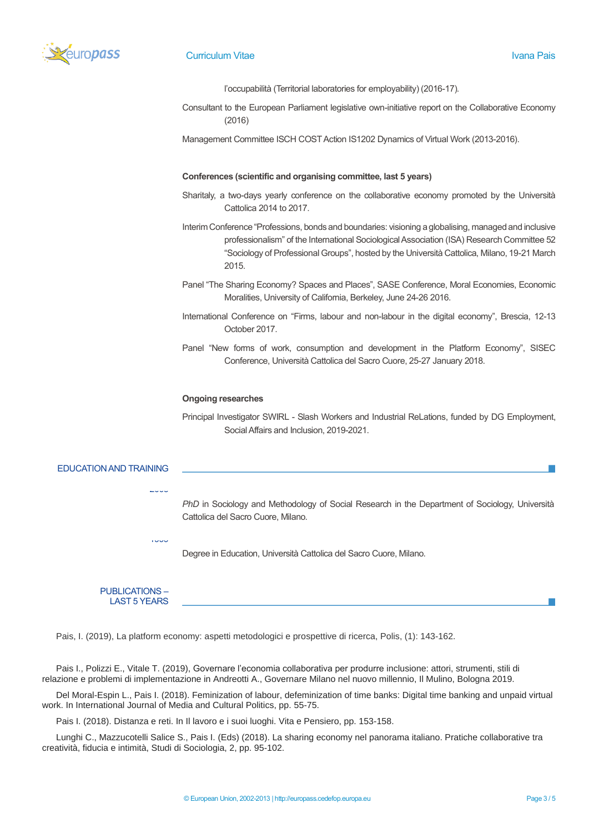

l'occupabilità (Territorial laboratories for employability) (2016-17).

Consultant to the European Parliament legislative own-initiative report on the Collaborative Economy (2016)

Management Committee ISCH COST Action IS1202 Dynamics of Virtual Work (2013-2016).

## **Conferences (scientific and organising committee, last 5 years)**

- Sharitaly, a two-days yearly conference on the collaborative economy promoted by the Università Cattolica 2014 to 2017.
- Interim Conference "Professions, bonds and boundaries: visioning a globalising, managed and inclusive professionalism" of the International Sociological Association (ISA) Research Committee 52 "Sociology of Professional Groups", hosted by the Università Cattolica, Milano, 19-21 March 2015.
- Panel "The Sharing Economy? Spaces and Places", SASE Conference, Moral Economies, Economic Moralities, University of California, Berkeley, June 24-26 2016.
- International Conference on "Firms, labour and non-labour in the digital economy", Brescia, 12-13 October 2017.
- Panel "New forms of work, consumption and development in the Platform Economy", SISEC Conference, Università Cattolica del Sacro Cuore, 25-27 January 2018.

#### **Ongoing researches**

Principal Investigator SWIRL - Slash Workers and Industrial ReLations, funded by DG Employment, Social Affairs and Inclusion, 2019-2021.

#### EDUCATION AND TRAINING

*PhD* in Sociology and Methodology of Social Research in the Department of Sociology, Università Cattolica del Sacro Cuore, Milano.

Degree in Education, Università Cattolica del Sacro Cuore, Milano.

#### PUBLICATIONS – LAST 5 YEARS

2003

1999

Pais, I. (2019), La platform economy: aspetti metodologici e prospettive di ricerca, Polis, (1): 143-162.

Pais I., Polizzi E., Vitale T. (2019), Governare l'economia collaborativa per produrre inclusione: attori, strumenti, stili di relazione e problemi di implementazione in Andreotti A., Governare Milano nel nuovo millennio, Il Mulino, Bologna 2019.

Del Moral-Espin L., Pais I. (2018). Feminization of labour, defeminization of time banks: Digital time banking and unpaid virtual work. In International Journal of Media and Cultural Politics, pp. 55-75.

Pais I. (2018). Distanza e reti. In Il lavoro e i suoi luoghi. Vita e Pensiero, pp. 153-158.

Lunghi C., Mazzucotelli Salice S., Pais I. (Eds) (2018). La sharing economy nel panorama italiano. Pratiche collaborative tra creatività, fiducia e intimità, Studi di Sociologia, 2, pp. 95-102.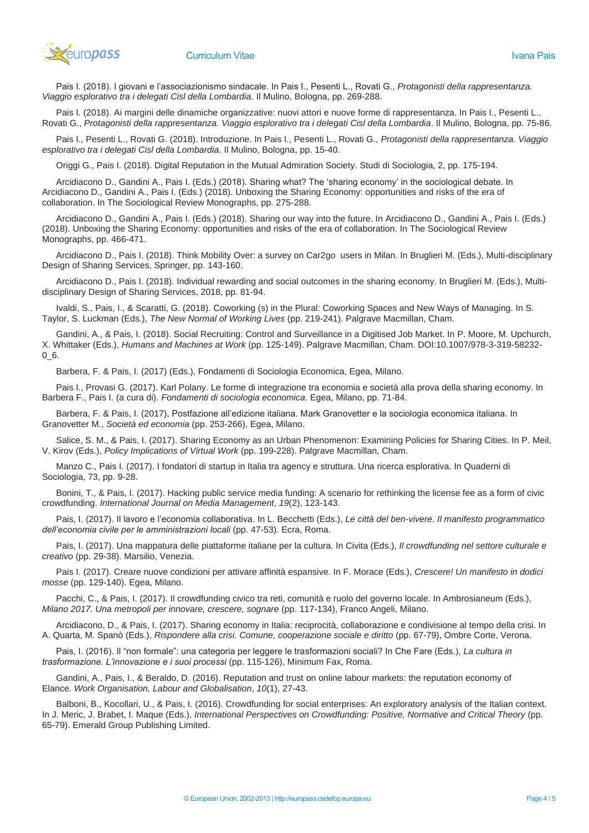

Pais I. (2018). I giovani e l'associazionismo sindacale. In Pais I., Pesenti L., Rovati G., *Protagonisti della rappresentanza. Viaggio esplorativo tra i delegati Cisl della Lombardia*. Il Mulino, Bologna, pp. 269-288.

Pais I. (2018). Ai margini delle dinamiche organizzative: nuovi attori e nuove forme di rappresentanza. In Pais I., Pesenti L., Rovati G., *Protagonisti della rappresentanza. Viaggio esplorativo tra i delegati Cisl della Lombardia*. Il Mulino, Bologna, pp. 75-86.

Pais I., Pesenti L., Rovati G. (2018). Introduzione. In Pais I., Pesenti L., Rovati G., *Protagonisti della rappresentanza. Viaggio esplorativo tra i delegati Cisl della Lombardia*. Il Mulino, Bologna, pp. 15-40.

Origgi G., Pais I. (2018). Digital Reputation in the Mutual Admiration Society. Studi di Sociologia, 2, pp. 175-194.

Arcidiacono D., Gandini A., Pais I. (Eds.) (2018). Sharing what? The 'sharing economy' in the sociological debate. In Arcidiacono D., Gandini A., Pais I. (Eds.) (2018). Unboxing the Sharing Economy: opportunities and risks of the era of collaboration. In The Sociological Review Monographs, pp. 275-288.

Arcidiacono D., Gandini A., Pais I. (Eds.) (2018). Sharing our way into the future. In Arcidiacono D., Gandini A., Pais I. (Eds.) (2018). Unboxing the Sharing Economy: opportunities and risks of the era of collaboration. In The Sociological Review Monographs, pp. 466-471.

Arcidiacono D., Pais I. (2018). Think Mobility Over: a survey on Car2go users in Milan. In Bruglieri M. (Eds.), Multi-disciplinary Design of Sharing Services, Springer, pp. 143-160.

Arcidiacono D., Pais I. (2018). Individual rewarding and social outcomes in the sharing economy. In Bruglieri M. (Eds.), Multidisciplinary Design of Sharing Services, 2018, pp. 81-94.

Ivaldi, S., Pais, I., & Scaratti, G. (2018). Coworking (s) in the Plural: Coworking Spaces and New Ways of Managing. In S. Taylor, S. Luckman (Eds.), *The New Normal of Working Lives* (pp. 219-241). Palgrave Macmillan, Cham.

Gandini, A., & Pais, I. (2018). Social Recruiting: Control and Surveillance in a Digitised Job Market. In P. Moore, M. Upchurch, X. Whittaker (Eds.), *Humans and Machines at Work* (pp. 125-149). Palgrave Macmillan, Cham. DOI:10.1007/978-3-319-58232- 0\_6.

Barbera, F. & Pais, I. (2017) (Eds.), Fondamenti di Sociologia Economica, Egea, Milano.

Pais I., Provasi G. (2017). Karl Polany. Le forme di integrazione tra economia e società alla prova della sharing economy. In Barbera F., Pais I. (a cura di). *Fondamenti di sociologia economica*. Egea, Milano, pp. 71-84.

Barbera, F. & Pais, I. (2017), Postfazione all'edizione italiana. Mark Granovetter e la sociologia economica italiana. In Granovetter M., *Società ed economia* (pp. 253-266), Egea, Milano.

Salice, S. M., & Pais, I. (2017). Sharing Economy as an Urban Phenomenon: Examining Policies for Sharing Cities. In P. Meil, V. Kirov (Eds.), *Policy Implications of Virtual Work* (pp. 199-228). Palgrave Macmillan, Cham.

Manzo C., Pais I. (2017). I fondatori di startup in Italia tra agency e struttura. Una ricerca esplorativa. In Quaderni di Sociologia, 73, pp. 9-28.

Bonini, T., & Pais, I. (2017). Hacking public service media funding: A scenario for rethinking the license fee as a form of civic crowdfunding. *International Journal on Media Management*, *19*(2), 123-143.

Pais, I. (2017). Il lavoro e l'economia collaborativa. In L. Becchetti (Eds.), *Le città del ben-vivere. Il manifesto programmatico dell'economia civile per le amministrazioni locali* (pp. 47-53). Ecra, Roma.

Pais, I. (2017). Una mappatura delle piattaforme italiane per la cultura. In Civita (Eds.), *Il crowdfunding nel settore culturale e creativo* (pp. 29-38). Marsilio, Venezia.

Pais I. (2017). Creare nuove condizioni per attivare affinità espansive. In F. Morace (Eds.), *Crescere! Un manifesto in dodici mosse* (pp. 129-140). Egea, Milano.

Pacchi, C., & Pais, I. (2017). Il crowdfunding civico tra reti, comunità e ruolo del governo locale. In Ambrosianeum (Eds.), *Milano 2017. Una metropoli per innovare, crescere, sognare* (pp. 117-134), Franco Angeli, Milano.

Arcidiacono, D., & Pais, I. (2017). Sharing economy in Italia: reciprocità, collaborazione e condivisione al tempo della crisi. In A. Quarta, M. Spanò (Eds.), *Rispondere alla crisi. Comune, cooperazione sociale e diritto* (pp. 67-79), Ombre Corte, Verona.

Pais, I. (2016). Il "non formale": una categoria per leggere le trasformazioni sociali? In Che Fare (Eds.), *La cultura in trasformazione. L'innovazione e i suoi processi* (pp. 115-126), Minimum Fax, Roma.

Gandini, A., Pais, I., & Beraldo, D. (2016). Reputation and trust on online labour markets: the reputation economy of Elance. *Work Organisation, Labour and Globalisation*, *10*(1), 27-43.

Balboni, B., Kocollari, U., & Pais, I. (2016). Crowdfunding for social enterprises: An exploratory analysis of the Italian context. In J. Meric, J. Brabet, I. Maque (Eds.), *International Perspectives on Crowdfunding: Positive, Normative and Critical Theory* (pp. 65-79). Emerald Group Publishing Limited.